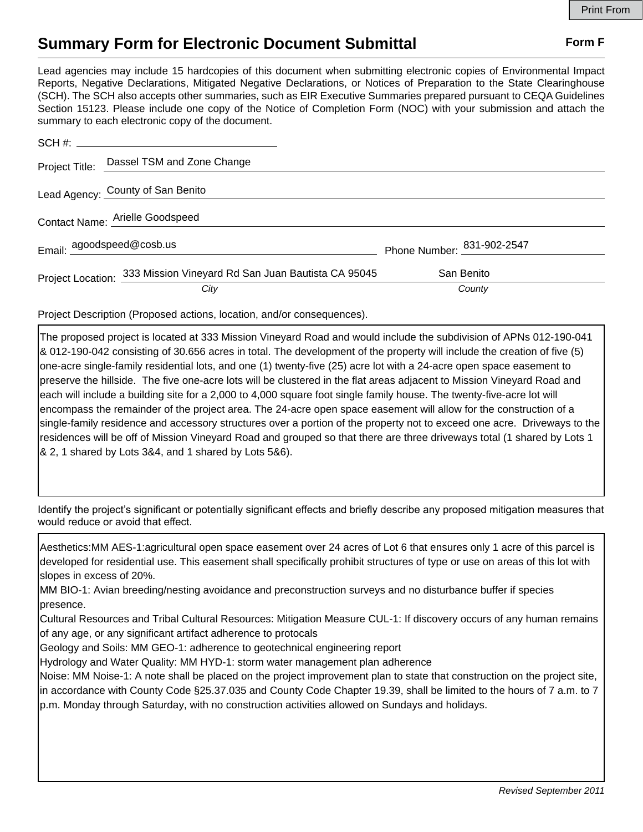## **Summary Form for Electronic Document Submittal Form F Form F**

Lead agencies may include 15 hardcopies of this document when submitting electronic copies of Environmental Impact Reports, Negative Declarations, Mitigated Negative Declarations, or Notices of Preparation to the State Clearinghouse (SCH). The SCH also accepts other summaries, such as EIR Executive Summaries prepared pursuant to CEQA Guidelines Section 15123. Please include one copy of the Notice of Completion Form (NOC) with your submission and attach the summary to each electronic copy of the document.

|  | Project Title: Dassel TSM and Zone Change                            |                            |  |
|--|----------------------------------------------------------------------|----------------------------|--|
|  | Lead Agency: County of San Benito                                    |                            |  |
|  | Contact Name: Arielle Goodspeed                                      |                            |  |
|  | Email: agoodspeed@cosb.us                                            | Phone Number: 831-902-2547 |  |
|  | Project Location: 333 Mission Vineyard Rd San Juan Bautista CA 95045 | San Benito                 |  |
|  | City                                                                 | County                     |  |

Project Description (Proposed actions, location, and/or consequences).

The proposed project is located at 333 Mission Vineyard Road and would include the subdivision of APNs 012-190-041 & 012-190-042 consisting of 30.656 acres in total. The development of the property will include the creation of five (5) one-acre single-family residential lots, and one (1) twenty-five (25) acre lot with a 24-acre open space easement to preserve the hillside. The five one-acre lots will be clustered in the flat areas adjacent to Mission Vineyard Road and each will include a building site for a 2,000 to 4,000 square foot single family house. The twenty-five-acre lot will encompass the remainder of the project area. The 24-acre open space easement will allow for the construction of a single-family residence and accessory structures over a portion of the property not to exceed one acre. Driveways to the residences will be off of Mission Vineyard Road and grouped so that there are three driveways total (1 shared by Lots 1 & 2, 1 shared by Lots 3&4, and 1 shared by Lots 5&6).

Identify the project's significant or potentially significant effects and briefly describe any proposed mitigation measures that would reduce or avoid that effect.

Aesthetics:MM AES-1:agricultural open space easement over 24 acres of Lot 6 that ensures only 1 acre of this parcel is developed for residential use. This easement shall specifically prohibit structures of type or use on areas of this lot with slopes in excess of 20%.

MM BIO-1: Avian breeding/nesting avoidance and preconstruction surveys and no disturbance buffer if species presence.

Cultural Resources and Tribal Cultural Resources: Mitigation Measure CUL-1: If discovery occurs of any human remains of any age, or any significant artifact adherence to protocals

Geology and Soils: MM GEO-1: adherence to geotechnical engineering report

Hydrology and Water Quality: MM HYD-1: storm water management plan adherence

Noise: MM Noise-1: A note shall be placed on the project improvement plan to state that construction on the project site, in accordance with County Code §25.37.035 and County Code Chapter 19.39, shall be limited to the hours of 7 a.m. to 7 p.m. Monday through Saturday, with no construction activities allowed on Sundays and holidays.